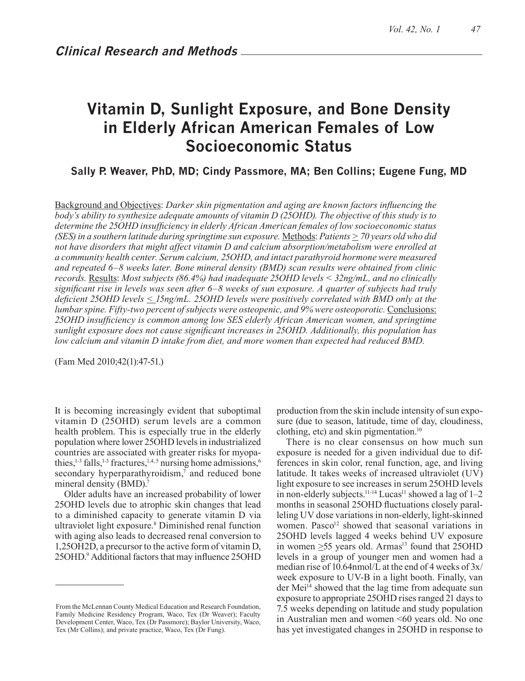# **Vitamin D, Sunlight Exposure, and Bone Density in Elderly African American Females of Low Socioeconomic Status**

**Sally P. Weaver, PhD, MD; Cindy Passmore, MA; Ben Collins; Eugene Fung, MD**

Background and Objectives: *Darker skin pigmentation and aging are known factors influencing the body's ability to synthesize adequate amounts of vitamin D (25OHD). The objective of this study is to determine the 25OHD insufficiency in elderly African American females of low socioeconomic status (SES) in a southern latitude during springtime sun exposure.* Methods: *Patients > 70 years old who did not have disorders that might affect vitamin D and calcium absorption/metabolism were enrolled at a community health center. Serum calcium, 25OHD, and intact parathyroid hormone were measured and repeated 6–8 weeks later. Bone mineral density (BMD) scan results were obtained from clinic records.* Results: *Most subjects (86.4%) had inadequate 25OHD levels < 32ng/mL, and no clinically significant rise in levels was seen after 6–8 weeks of sun exposure. A quarter of subjects had truly deficient 25OHD levels < 15ng/mL. 25OHD levels were positively correlated with BMD only at the lumbar spine. Fifty-two percent of subjects were osteopenic, and 9% were osteoporotic.* Conclusions: *25OHD insufficiency is common among low SES elderly African American women, and springtime sunlight exposure does not cause significant increases in 25OHD. Additionally, this population has low calcium and vitamin D intake from diet, and more women than expected had reduced BMD.* 

(Fam Med 2010;42(1):47-51.)

It is becoming increasingly evident that suboptimal vitamin D (25OHD) serum levels are a common health problem. This is especially true in the elderly population where lower 25OHD levels in industrialized countries are associated with greater risks for myopathies,<sup>1-3</sup> falls,<sup>1-3</sup> fractures,<sup>1,4,5</sup> nursing home admissions,<sup>6</sup> secondary hyperparathyroidism,<sup>7</sup> and reduced bone mineral density (BMD).<sup>7</sup>

Older adults have an increased probability of lower 25OHD levels due to atrophic skin changes that lead to a diminished capacity to generate vitamin D via ultraviolet light exposure.8 Diminished renal function with aging also leads to decreased renal conversion to 1,25OH2D, a precursor to the active form of vitamin D, 25OHD.9 Additional factors that may influence 25OHD production from the skin include intensity of sun exposure (due to season, latitude, time of day, cloudiness, clothing, etc) and skin pigmentation.10

There is no clear consensus on how much sun exposure is needed for a given individual due to differences in skin color, renal function, age, and living latitude. It takes weeks of increased ultraviolet (UV) light exposure to see increases in serum 25OHD levels in non-elderly subjects.<sup>11-14</sup> Lucas<sup>11</sup> showed a lag of  $1-2$ months in seasonal 25OHD fluctuations closely paralleling UV dose variations in non-elderly, light-skinned women. Pasco<sup>12</sup> showed that seasonal variations in 25OHD levels lagged 4 weeks behind UV exposure in women  $>55$  years old. Armas<sup>13</sup> found that  $25OHD$ levels in a group of younger men and women had a median rise of 10.64nmol/L at the end of 4 weeks of 3x/ week exposure to UV-B in a light booth. Finally, van der Mei<sup>14</sup> showed that the lag time from adequate sun exposure to appropriate 25OHD rises ranged 21 days to 7.5 weeks depending on latitude and study population in Australian men and women <60 years old. No one has yet investigated changes in 25OHD in response to

From the McLennan County Medical Education and Research Foundation, Family Medicine Residency Program, Waco, Tex (Dr Weaver); Faculty Development Center, Waco, Tex (Dr Passmore); Baylor University, Waco, Tex (Mr Collins); and private practice, Waco, Tex (Dr Fung).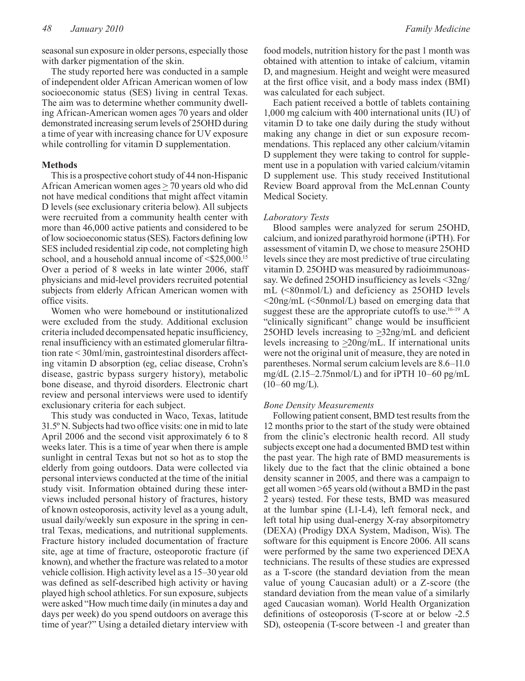seasonal sun exposure in older persons, especially those with darker pigmentation of the skin.

The study reported here was conducted in a sample of independent older African American women of low socioeconomic status (SES) living in central Texas. The aim was to determine whether community dwelling African-American women ages 70 years and older demonstrated increasing serum levels of 25OHD during a time of year with increasing chance for UV exposure while controlling for vitamin D supplementation.

# **Methods**

This is a prospective cohort study of 44 non-Hispanic African American women ages  $\geq$  70 years old who did not have medical conditions that might affect vitamin D levels (see exclusionary criteria below). All subjects were recruited from a community health center with more than 46,000 active patients and considered to be of low socioeconomic status (SES). Factors defining low SES included residential zip code, not completing high school, and a household annual income of  $\leq$ \$25,000.<sup>15</sup> Over a period of 8 weeks in late winter 2006, staff physicians and mid-level providers recruited potential subjects from elderly African American women with office visits.

Women who were homebound or institutionalized were excluded from the study. Additional exclusion criteria included decompensated hepatic insufficiency, renal insufficiency with an estimated glomerular filtration rate < 30ml/min, gastrointestinal disorders affecting vitamin D absorption (eg, celiac disease, Crohn's disease, gastric bypass surgery history), metabolic bone disease, and thyroid disorders. Electronic chart review and personal interviews were used to identify exclusionary criteria for each subject.

This study was conducted in Waco, Texas, latitude 31.5º N. Subjects had two office visits: one in mid to late April 2006 and the second visit approximately 6 to 8 weeks later. This is a time of year when there is ample sunlight in central Texas but not so hot as to stop the elderly from going outdoors. Data were collected via personal interviews conducted at the time of the initial study visit. Information obtained during these interviews included personal history of fractures, history of known osteoporosis, activity level as a young adult, usual daily/weekly sun exposure in the spring in central Texas, medications, and nutritional supplements. Fracture history included documentation of fracture site, age at time of fracture, osteoporotic fracture (if known), and whether the fracture was related to a motor vehicle collision. High activity level as a 15–30 year old was defined as self-described high activity or having played high school athletics. For sun exposure, subjects were asked "How much time daily (in minutes a day and days per week) do you spend outdoors on average this time of year?" Using a detailed dietary interview with

food models, nutrition history for the past 1 month was obtained with attention to intake of calcium, vitamin D, and magnesium. Height and weight were measured at the first office visit, and a body mass index (BMI) was calculated for each subject.

Each patient received a bottle of tablets containing 1,000 mg calcium with 400 international units (IU) of vitamin D to take one daily during the study without making any change in diet or sun exposure recommendations. This replaced any other calcium/vitamin D supplement they were taking to control for supplement use in a population with varied calcium/vitamin D supplement use. This study received Institutional Review Board approval from the McLennan County Medical Society.

## *Laboratory Tests*

Blood samples were analyzed for serum 25OHD, calcium, and ionized parathyroid hormone (iPTH). For assessment of vitamin D, we chose to measure 25OHD levels since they are most predictive of true circulating vitamin D. 25OHD was measured by radioimmunoassay. We defined 25OHD insufficiency as levels <32ng/ mL (<80nmol/L) and deficiency as 25OHD levels <20ng/mL (<50nmol/L) based on emerging data that suggest these are the appropriate cutoffs to use.<sup>16-19</sup> A "clinically significant" change would be insufficient 25OHD levels increasing to >32ng/mL and deficient levels increasing to  $\geq$ 20ng/mL. If international units were not the original unit of measure, they are noted in parentheses. Normal serum calcium levels are 8.6–11.0 mg/dL (2.15–2.75nmol/L) and for iPTH 10–60 pg/mL  $(10-60 \text{ mg/L}).$ 

#### *Bone Density Measurements*

Following patient consent, BMD test results from the 12 months prior to the start of the study were obtained from the clinic's electronic health record. All study subjects except one had a documented BMD test within the past year. The high rate of BMD measurements is likely due to the fact that the clinic obtained a bone density scanner in 2005, and there was a campaign to get all women >65 years old (without a BMD in the past 2 years) tested. For these tests, BMD was measured at the lumbar spine (L1-L4), left femoral neck, and left total hip using dual-energy X-ray absorpitometry (DEXA) (Prodigy DXA System, Madison, Wis). The software for this equipment is Encore 2006. All scans were performed by the same two experienced DEXA technicians. The results of these studies are expressed as a T-score (the standard deviation from the mean value of young Caucasian adult) or a Z-score (the standard deviation from the mean value of a similarly aged Caucasian woman). World Health Organization definitions of osteoporosis (T-score at or below -2.5 SD), osteopenia (T-score between -1 and greater than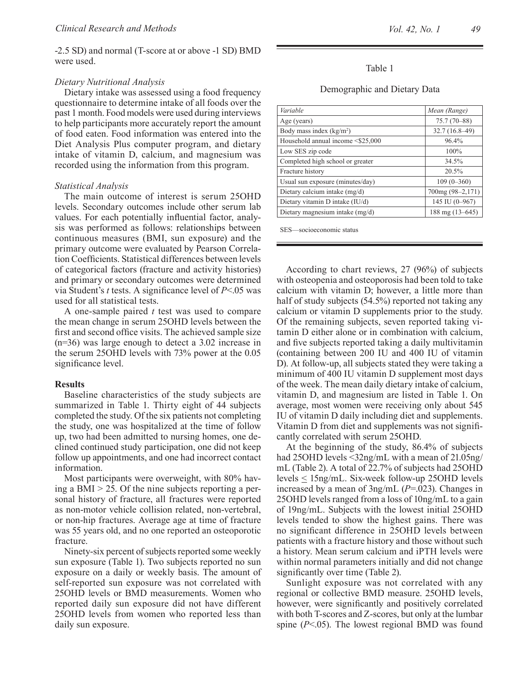-2.5 SD) and normal (T-score at or above -1 SD) BMD were used.

#### *Dietary Nutritional Analysis*

Dietary intake was assessed using a food frequency questionnaire to determine intake of all foods over the past 1 month. Food models were used during interviews to help participants more accurately report the amount of food eaten. Food information was entered into the Diet Analysis Plus computer program, and dietary intake of vitamin D, calcium, and magnesium was recorded using the information from this program.

#### *Statistical Analysis*

The main outcome of interest is serum 25OHD levels. Secondary outcomes include other serum lab values. For each potentially influential factor, analysis was performed as follows: relationships between continuous measures (BMI, sun exposure) and the primary outcome were evaluated by Pearson Correlation Coefficients. Statistical differences between levels of categorical factors (fracture and activity histories) and primary or secondary outcomes were determined via Student's *t* tests. A significance level of *P*<.05 was used for all statistical tests.

A one-sample paired *t* test was used to compare the mean change in serum 25OHD levels between the first and second office visits. The achieved sample size (n=36) was large enough to detect a 3.02 increase in the serum 25OHD levels with 73% power at the 0.05 significance level.

### **Results**

Baseline characteristics of the study subjects are summarized in Table 1. Thirty eight of 44 subjects completed the study. Of the six patients not completing the study, one was hospitalized at the time of follow up, two had been admitted to nursing homes, one declined continued study participation, one did not keep follow up appointments, and one had incorrect contact information.

Most participants were overweight, with 80% having a BMI  $> 25$ . Of the nine subjects reporting a personal history of fracture, all fractures were reported as non-motor vehicle collision related, non-vertebral, or non-hip fractures. Average age at time of fracture was 55 years old, and no one reported an osteoporotic fracture.

Ninety-six percent of subjects reported some weekly sun exposure (Table 1). Two subjects reported no sun exposure on a daily or weekly basis. The amount of self-reported sun exposure was not correlated with 25OHD levels or BMD measurements. Women who reported daily sun exposure did not have different 25OHD levels from women who reported less than daily sun exposure.

# Table 1

#### Demographic and Dietary Data

| Variable                          | Mean (Range)     |
|-----------------------------------|------------------|
| Age (years)                       | $75.7(70 - 88)$  |
| Body mass index $(kg/m2)$         | $32.7(16.8-49)$  |
| Household annual income <\$25,000 | 96.4%            |
| Low SES zip code                  | 100%             |
| Completed high school or greater  | 34.5%            |
| Fracture history                  | 20.5%            |
| Usual sun exposure (minutes/day)  | $109(0-360)$     |
| Dietary calcium intake (mg/d)     | 700mg (98-2,171) |
| Dietary vitamin D intake (IU/d)   | 145 IU (0-967)   |
| Dietary magnesium intake (mg/d)   | 188 mg (13-645)  |

SES—socioeconomic status

According to chart reviews, 27 (96%) of subjects with osteopenia and osteoporosis had been told to take calcium with vitamin D; however, a little more than half of study subjects (54.5%) reported not taking any calcium or vitamin D supplements prior to the study. Of the remaining subjects, seven reported taking vitamin D either alone or in combination with calcium, and five subjects reported taking a daily multivitamin (containing between 200 IU and 400 IU of vitamin D). At follow-up, all subjects stated they were taking a minimum of 400 IU vitamin D supplement most days of the week. The mean daily dietary intake of calcium, vitamin D, and magnesium are listed in Table 1. On average, most women were receiving only about 545 IU of vitamin D daily including diet and supplements. Vitamin D from diet and supplements was not significantly correlated with serum 25OHD.

At the beginning of the study, 86.4% of subjects had 25OHD levels <32ng/mL with a mean of 21.05ng/ mL (Table 2). A total of 22.7% of subjects had 25OHD levels < 15ng/mL. Six-week follow-up 25OHD levels increased by a mean of 3ng/mL (*P*=.023). Changes in 25OHD levels ranged from a loss of 10ng/mL to a gain of 19ng/mL. Subjects with the lowest initial 25OHD levels tended to show the highest gains. There was no significant difference in 25OHD levels between patients with a fracture history and those without such a history. Mean serum calcium and iPTH levels were within normal parameters initially and did not change significantly over time (Table 2).

Sunlight exposure was not correlated with any regional or collective BMD measure. 25OHD levels, however, were significantly and positively correlated with both T-scores and Z-scores, but only at the lumbar spine (*P*<.05). The lowest regional BMD was found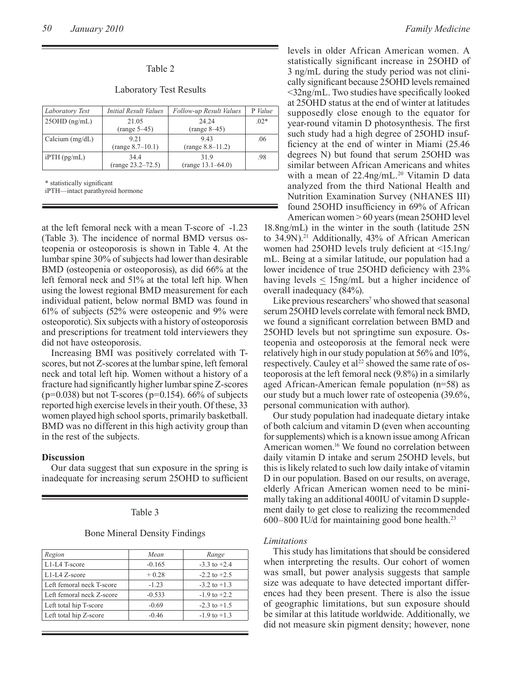#### Table 2

Laboratory Test Results

| Laboratory Test   | Initial Result Values | Follow-up Result Values | P Value |
|-------------------|-----------------------|-------------------------|---------|
| $25OHD$ (ng/mL)   | 21.05                 | 24 24                   | $.02*$  |
|                   | $(range 5-45)$        | $(range 8-45)$          |         |
| Calcium $(mg/dL)$ | 9 21                  | 943                     | .06     |
|                   | (range 8.7–10.1)      | $(range 8.8-11.2)$      |         |
| $i$ PTH $(pg/mL)$ | 344                   | 319                     | .98     |
|                   | (range 23.2–72.5)     | $(range 13.1-64.0)$     |         |

\* statistically significant

iPTH—intact parathyroid hormone

at the left femoral neck with a mean T-score of -1.23 (Table 3). The incidence of normal BMD versus osteopenia or osteoporosis is shown in Table 4. At the lumbar spine 30% of subjects had lower than desirable BMD (osteopenia or osteoporosis), as did 66% at the left femoral neck and 51% at the total left hip. When using the lowest regional BMD measurement for each individual patient, below normal BMD was found in 61% of subjects (52% were osteopenic and 9% were osteoporotic). Six subjects with a history of osteoporosis and prescriptions for treatment told interviewers they did not have osteoporosis.

Increasing BMI was positively correlated with Tscores, but not Z-scores at the lumbar spine, left femoral neck and total left hip. Women without a history of a fracture had significantly higher lumbar spine Z-scores  $(p=0.038)$  but not T-scores ( $p=0.154$ ). 66% of subjects reported high exercise levels in their youth. Of these, 33 women played high school sports, primarily basketball. BMD was no different in this high activity group than in the rest of the subjects.

#### **Discussion**

Our data suggest that sun exposure in the spring is inadequate for increasing serum 25OHD to sufficient

#### Table 3

Bone Mineral Density Findings

| Region                    | Mean     | Range            |
|---------------------------|----------|------------------|
| L1-L4 T-score             | $-0.165$ | $-3.3$ to $+2.4$ |
| L1-L4 Z-score             | $+0.28$  | $-2.2$ to $+2.5$ |
| Left femoral neck T-score | $-123$   | $-3.2$ to $+1.3$ |
| Left femoral neck Z-score | $-0.533$ | $-1.9$ to $+2.2$ |
| Left total hip T-score    | $-0.69$  | $-2.3$ to $+1.5$ |
| Left total hip Z-score    | $-0.46$  | $-1.9$ to $+1.3$ |

levels in older African American women. A statistically significant increase in 25OHD of 3 ng/mL during the study period was not clinically significant because 25OHD levels remained <32ng/mL. Two studies have specifically looked at 25OHD status at the end of winter at latitudes supposedly close enough to the equator for year-round vitamin D photosynthesis. The first such study had a high degree of 25OHD insufficiency at the end of winter in Miami (25.46 degrees N) but found that serum 25OHD was similar between African Americans and whites with a mean of 22.4ng/mL.<sup>20</sup> Vitamin D data analyzed from the third National Health and Nutrition Examination Survey (NHANES III) found 25OHD insufficiency in 69% of African American women > 60 years (mean 25OHD level

18.8ng/mL) in the winter in the south (latitude 25N to 34.9N).21 Additionally, 43% of African American women had 25OHD levels truly deficient at <15.1ng/ mL. Being at a similar latitude, our population had a lower incidence of true 25OHD deficiency with 23% having levels  $\leq 15$ ng/mL but a higher incidence of overall inadequacy (84%).

Like previous researchers<sup>7</sup> who showed that seasonal serum 25OHD levels correlate with femoral neck BMD, we found a significant correlation between BMD and 25OHD levels but not springtime sun exposure. Osteopenia and osteoporosis at the femoral neck were relatively high in our study population at 56% and 10%, respectively. Cauley et al<sup>22</sup> showed the same rate of osteoporosis at the left femoral neck (9.8%) in a similarly aged African-American female population (n=58) as our study but a much lower rate of osteopenia (39.6%, personal communication with author).

Our study population had inadequate dietary intake of both calcium and vitamin D (even when accounting for supplements) which is a known issue among African American women.16 We found no correlation between daily vitamin D intake and serum 25OHD levels, but this is likely related to such low daily intake of vitamin D in our population. Based on our results, on average, elderly African American women need to be minimally taking an additional 400IU of vitamin D supplement daily to get close to realizing the recommended 600–800 IU/d for maintaining good bone health.23

#### *Limitations*

This study has limitations that should be considered when interpreting the results. Our cohort of women was small, but power analysis suggests that sample size was adequate to have detected important differences had they been present. There is also the issue of geographic limitations, but sun exposure should be similar at this latitude worldwide. Additionally, we did not measure skin pigment density; however, none